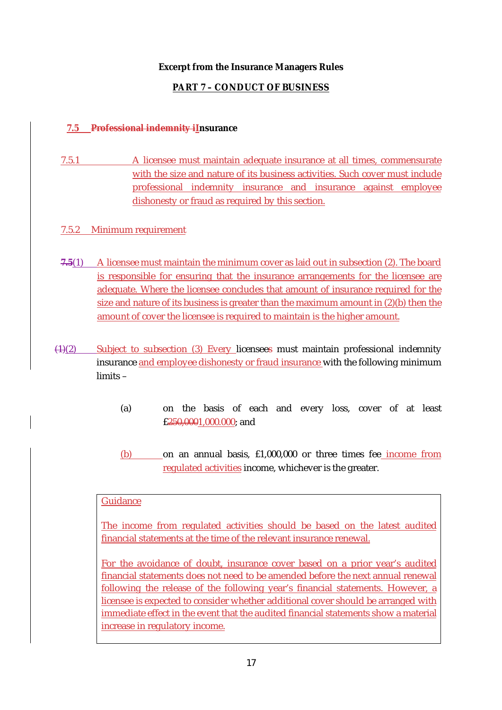# **Excerpt from the Insurance Managers Rules**

# **PART 7 – CONDUCT OF BUSINESS**

## **7.5 Professional indemnity iInsurance**

7.5.1 A licensee must maintain adequate insurance at all times, commensurate with the size and nature of its business activities. Such cover must include professional indemnity insurance and insurance against employee dishonesty or fraud as required by this section.

## 7.5.2 Minimum requirement

- **7.5**(1) A licensee must maintain the minimum cover as laid out in subsection (2). The board is responsible for ensuring that the insurance arrangements for the licensee are adequate. Where the licensee concludes that amount of insurance required for the size and nature of its business is greater than the maximum amount in (2)(b) then the amount of cover the licensee is required to maintain is the higher amount.
- (1)(2) Subject to subsection (3) Every licensees must maintain professional indemnity insurance and employee dishonesty or fraud insurance with the following minimum limits –
	- (a) on the basis of each and every loss, cover of at least £250,0001,000.000; and
	- (b) on an annual basis, £1,000,000 or three times fee income from regulated activities income, whichever is the greater.

#### **Guidance**

The income from regulated activities should be based on the latest audited financial statements at the time of the relevant insurance renewal.

For the avoidance of doubt, insurance cover based on a prior year's audited financial statements does not need to be amended before the next annual renewal following the release of the following year's financial statements. However, a licensee is expected to consider whether additional cover should be arranged with immediate effect in the event that the audited financial statements show a material increase in regulatory income.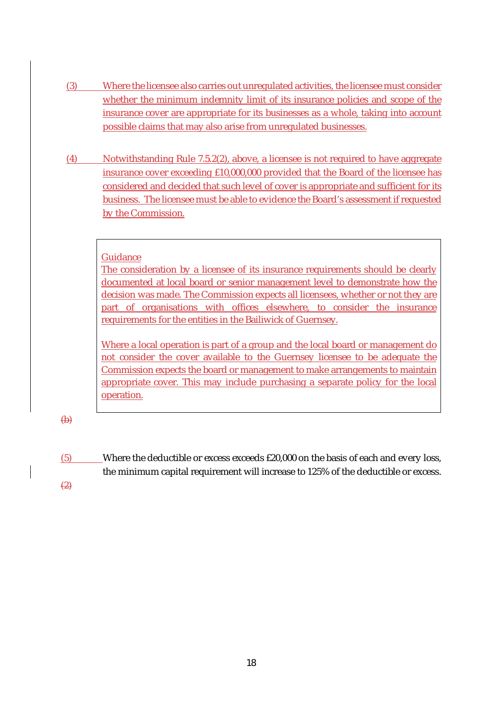- (3) Where the licensee also carries out unregulated activities, the licensee must consider whether the minimum indemnity limit of its insurance policies and scope of the insurance cover are appropriate for its businesses as a whole, taking into account possible claims that may also arise from unregulated businesses.
- (4) Notwithstanding Rule 7.5.2(2), above, a licensee is not required to have aggregate insurance cover exceeding £10,000,000 provided that the Board of the licensee has considered and decided that such level of cover is appropriate and sufficient for its business. The licensee must be able to evidence the Board's assessment if requested by the Commission.

#### Guidance

The consideration by a licensee of its insurance requirements should be clearly documented at local board or senior management level to demonstrate how the decision was made. The Commission expects all licensees, whether or not they are part of organisations with offices elsewhere, to consider the insurance requirements for the entities in the Bailiwick of Guernsey.

Where a local operation is part of a group and the local board or management do not consider the cover available to the Guernsey licensee to be adequate the Commission expects the board or management to make arrangements to maintain appropriate cover. This may include purchasing a separate policy for the local operation.

 $\bigoplus$ 

(5) Where the deductible or excess exceeds £20,000 on the basis of each and every loss, the minimum capital requirement will increase to 125% of the deductible or excess.  $(2)$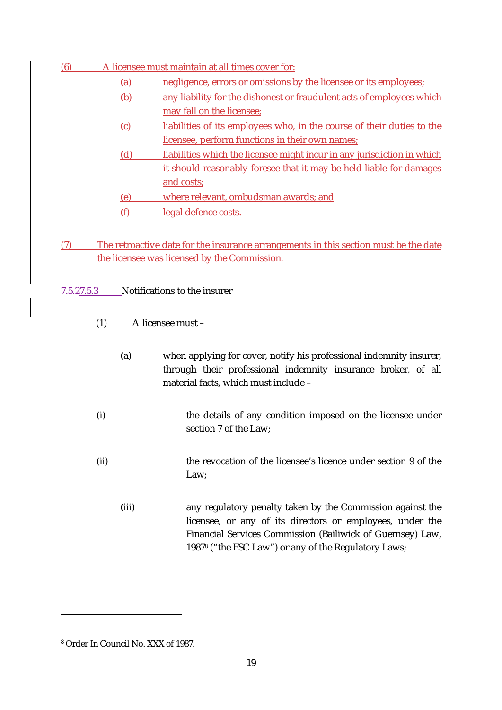- (6) A licensee must maintain at all times cover for:
	- (a) negligence, errors or omissions by the licensee or its employees;
	- (b) any liability for the dishonest or fraudulent acts of employees which may fall on the licensee;
	- (c) liabilities of its employees who, in the course of their duties to the licensee, perform functions in their own names;
	- (d) liabilities which the licensee might incur in any jurisdiction in which it should reasonably foresee that it may be held liable for damages and costs;
	- (e) where relevant, ombudsman awards; and
	- (f) legal defence costs.
- (7) The retroactive date for the insurance arrangements in this section must be the date the licensee was licensed by the Commission.

7.5.27.5.3 Notifications to the insurer

- (1) A licensee must
	- (a) when applying for cover, notify his professional indemnity insurer, through their professional indemnity insurance broker, of all material facts, which must include –
- (i) the details of any condition imposed on the licensee under section 7 of the Law;
- (ii) the revocation of the licensee's licence under section 9 of the Law;
	- (iii) any regulatory penalty taken by the Commission against the licensee, or any of its directors or employees, under the Financial Services Commission (Bailiwick of Guernsey) Law, 1987<sup>8</sup> ("the FSC Law") or any of the Regulatory Laws;

<sup>8</sup> Order In Council No. XXX of 1987.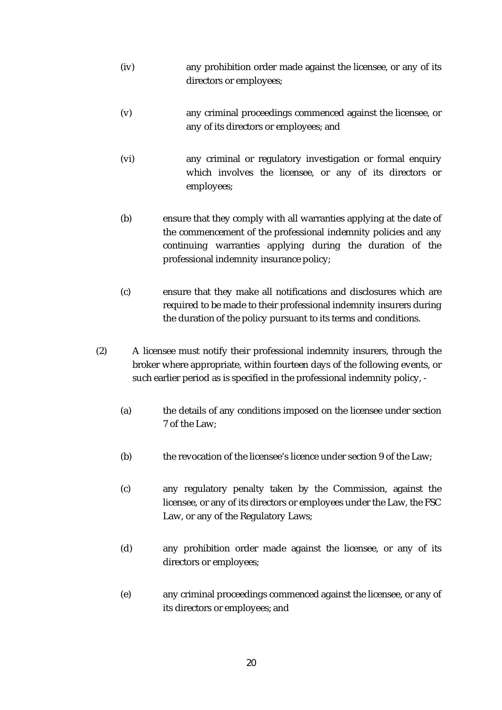- (iv) any prohibition order made against the licensee, or any of its directors or employees;
- (v) any criminal proceedings commenced against the licensee, or any of its directors or employees; and
- (vi) any criminal or regulatory investigation or formal enquiry which involves the licensee, or any of its directors or employees;
- (b) ensure that they comply with all warranties applying at the date of the commencement of the professional indemnity policies and any continuing warranties applying during the duration of the professional indemnity insurance policy;
- (c) ensure that they make all notifications and disclosures which are required to be made to their professional indemnity insurers during the duration of the policy pursuant to its terms and conditions.
- (2) A licensee must notify their professional indemnity insurers, through the broker where appropriate, within fourteen days of the following events, or such earlier period as is specified in the professional indemnity policy, -
	- (a) the details of any conditions imposed on the licensee under section 7 of the Law;
	- (b) the revocation of the licensee's licence under section 9 of the Law;
	- (c) any regulatory penalty taken by the Commission, against the licensee, or any of its directors or employees under the Law, the FSC Law, or any of the Regulatory Laws;
	- (d) any prohibition order made against the licensee, or any of its directors or employees;
	- (e) any criminal proceedings commenced against the licensee, or any of its directors or employees; and